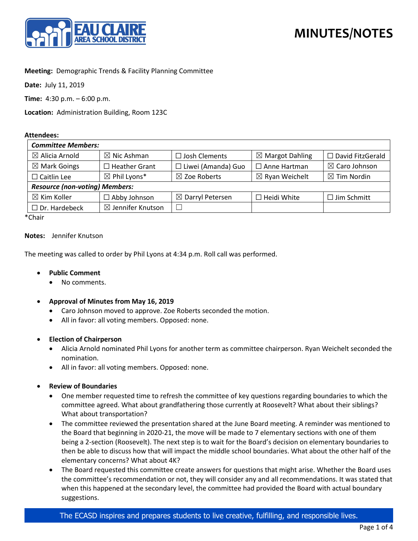

## **Meeting:** Demographic Trends & Facility Planning Committee

**Date:** July 11, 2019

**Time:** 4:30 p.m. – 6:00 p.m.

**Location:** Administration Building, Room 123C

#### **Attendees:**

| <b>Committee Members:</b>             |                              |                             |                            |                          |
|---------------------------------------|------------------------------|-----------------------------|----------------------------|--------------------------|
| $\boxtimes$ Alicia Arnold             | $\boxtimes$ Nic Ashman       | $\Box$ Josh Clements        | $\boxtimes$ Margot Dahling | $\Box$ David FitzGerald  |
| $\boxtimes$ Mark Goings               | $\Box$ Heather Grant         | $\Box$ Liwei (Amanda) Guo   | $\Box$ Anne Hartman        | $\boxtimes$ Caro Johnson |
| $\Box$ Caitlin Lee                    | $\boxtimes$ Phil Lyons*      | $\boxtimes$ Zoe Roberts     | $\boxtimes$ Ryan Weichelt  | $\boxtimes$ Tim Nordin   |
| <b>Resource (non-voting) Members:</b> |                              |                             |                            |                          |
| $\boxtimes$ Kim Koller                | $\Box$ Abby Johnson          | $\boxtimes$ Darryl Petersen | $\Box$ Heidi White         | $\Box$ Jim Schmitt       |
| $\Box$ Dr. Hardebeck                  | $\boxtimes$ Jennifer Knutson |                             |                            |                          |

\*Chair

#### **Notes:** Jennifer Knutson

The meeting was called to order by Phil Lyons at 4:34 p.m. Roll call was performed.

#### • **Public Comment**

- No comments.
- **Approval of Minutes from May 16, 2019**
	- Caro Johnson moved to approve. Zoe Roberts seconded the motion.
	- All in favor: all voting members. Opposed: none.

#### • **Election of Chairperson**

- Alicia Arnold nominated Phil Lyons for another term as committee chairperson. Ryan Weichelt seconded the nomination.
- All in favor: all voting members. Opposed: none.
- **Review of Boundaries**
	- One member requested time to refresh the committee of key questions regarding boundaries to which the committee agreed. What about grandfathering those currently at Roosevelt? What about their siblings? What about transportation?
	- The committee reviewed the presentation shared at the June Board meeting. A reminder was mentioned to the Board that beginning in 2020-21, the move will be made to 7 elementary sections with one of them being a 2-section (Roosevelt). The next step is to wait for the Board's decision on elementary boundaries to then be able to discuss how that will impact the middle school boundaries. What about the other half of the elementary concerns? What about 4K?
	- The Board requested this committee create answers for questions that might arise. Whether the Board uses the committee's recommendation or not, they will consider any and all recommendations. It was stated that when this happened at the secondary level, the committee had provided the Board with actual boundary suggestions.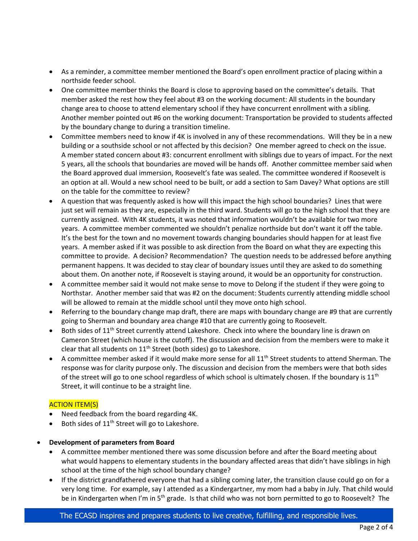- As a reminder, a committee member mentioned the Board's open enrollment practice of placing within a northside feeder school.
- One committee member thinks the Board is close to approving based on the committee's details. That member asked the rest how they feel about #3 on the working document: All students in the boundary change area to choose to attend elementary school if they have concurrent enrollment with a sibling. Another member pointed out #6 on the working document: Transportation be provided to students affected by the boundary change to during a transition timeline.
- Committee members need to know if 4K is involved in any of these recommendations. Will they be in a new building or a southside school or not affected by this decision? One member agreed to check on the issue. A member stated concern about #3: concurrent enrollment with siblings due to years of impact. For the next 5 years, all the schools that boundaries are moved will be hands off. Another committee member said when the Board approved dual immersion, Roosevelt's fate was sealed. The committee wondered if Roosevelt is an option at all. Would a new school need to be built, or add a section to Sam Davey? What options are still on the table for the committee to review?
- A question that was frequently asked is how will this impact the high school boundaries? Lines that were just set will remain as they are, especially in the third ward. Students will go to the high school that they are currently assigned. With 4K students, it was noted that information wouldn't be available for two more years. A committee member commented we shouldn't penalize northside but don't want it off the table. It's the best for the town and no movement towards changing boundaries should happen for at least five years. A member asked if it was possible to ask direction from the Board on what they are expecting this committee to provide. A decision? Recommendation? The question needs to be addressed before anything permanent happens. It was decided to stay clear of boundary issues until they are asked to do something about them. On another note, if Roosevelt is staying around, it would be an opportunity for construction.
- A committee member said it would not make sense to move to Delong if the student if they were going to Northstar. Another member said that was #2 on the document: Students currently attending middle school will be allowed to remain at the middle school until they move onto high school.
- Referring to the boundary change map draft, there are maps with boundary change are #9 that are currently going to Sherman and boundary area change #10 that are currently going to Roosevelt.
- Both sides of 11<sup>th</sup> Street currently attend Lakeshore. Check into where the boundary line is drawn on Cameron Street (which house is the cutoff). The discussion and decision from the members were to make it clear that all students on  $11<sup>th</sup>$  Street (both sides) go to Lakeshore.
- A committee member asked if it would make more sense for all 11<sup>th</sup> Street students to attend Sherman. The response was for clarity purpose only. The discussion and decision from the members were that both sides of the street will go to one school regardless of which school is ultimately chosen. If the boundary is  $11<sup>th</sup>$ Street, it will continue to be a straight line.

# ACTION ITEM(S)

- Need feedback from the board regarding 4K.
- Both sides of 11<sup>th</sup> Street will go to Lakeshore.

### • **Development of parameters from Board**

- A committee member mentioned there was some discussion before and after the Board meeting about what would happens to elementary students in the boundary affected areas that didn't have siblings in high school at the time of the high school boundary change?
- If the district grandfathered everyone that had a sibling coming later, the transition clause could go on for a very long time. For example, say I attended as a Kindergartner, my mom had a baby in July. That child would be in Kindergarten when I'm in 5<sup>th</sup> grade. Is that child who was not born permitted to go to Roosevelt? The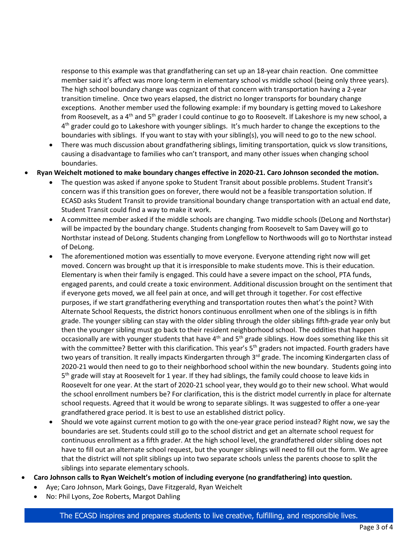response to this example was that grandfathering can set up an 18-year chain reaction. One committee member said it's affect was more long-term in elementary school vs middle school (being only three years). The high school boundary change was cognizant of that concern with transportation having a 2-year transition timeline. Once two years elapsed, the district no longer transports for boundary change exceptions. Another member used the following example: if my boundary is getting moved to Lakeshore from Roosevelt, as a 4<sup>th</sup> and 5<sup>th</sup> grader I could continue to go to Roosevelt. If Lakeshore is my new school, a  $4<sup>th</sup>$  grader could go to Lakeshore with younger siblings. It's much harder to change the exceptions to the boundaries with siblings. If you want to stay with your sibling(s), you will need to go to the new school.

- There was much discussion about grandfathering siblings, limiting transportation, quick vs slow transitions, causing a disadvantage to families who can't transport, and many other issues when changing school boundaries.
- **Ryan Weichelt motioned to make boundary changes effective in 2020-21. Caro Johnson seconded the motion.**
	- The question was asked if anyone spoke to Student Transit about possible problems. Student Transit's concern was if this transition goes on forever, there would not be a feasible transportation solution. If ECASD asks Student Transit to provide transitional boundary change transportation with an actual end date, Student Transit could find a way to make it work.
	- A committee member asked if the middle schools are changing. Two middle schools (DeLong and Northstar) will be impacted by the boundary change. Students changing from Roosevelt to Sam Davey will go to Northstar instead of DeLong. Students changing from Longfellow to Northwoods will go to Northstar instead of DeLong.
	- The aforementioned motion was essentially to move everyone. Everyone attending right now will get moved. Concern was brought up that it is irresponsible to make students move. This is their education. Elementary is when their family is engaged. This could have a severe impact on the school, PTA funds, engaged parents, and could create a toxic environment. Additional discussion brought on the sentiment that if everyone gets moved, we all feel pain at once, and will get through it together. For cost effective purposes, if we start grandfathering everything and transportation routes then what's the point? With Alternate School Requests, the district honors continuous enrollment when one of the siblings is in fifth grade. The younger sibling can stay with the older sibling through the older siblings fifth-grade year only but then the younger sibling must go back to their resident neighborhood school. The oddities that happen occasionally are with younger students that have 4th and 5th grade siblings. How does something like this sit with the committee? Better with this clarification. This year's 5<sup>th</sup> graders not impacted. Fourth graders have two years of transition. It really impacts Kindergarten through 3<sup>rd</sup> grade. The incoming Kindergarten class of 2020-21 would then need to go to their neighborhood school within the new boundary. Students going into 5<sup>th</sup> grade will stay at Roosevelt for 1 year. If they had siblings, the family could choose to leave kids in Roosevelt for one year. At the start of 2020-21 school year, they would go to their new school. What would the school enrollment numbers be? For clarification, this is the district model currently in place for alternate school requests. Agreed that it would be wrong to separate siblings. It was suggested to offer a one-year grandfathered grace period. It is best to use an established district policy.
	- Should we vote against current motion to go with the one-year grace period instead? Right now, we say the boundaries are set. Students could still go to the school district and get an alternate school request for continuous enrollment as a fifth grader. At the high school level, the grandfathered older sibling does not have to fill out an alternate school request, but the younger siblings will need to fill out the form. We agree that the district will not split siblings up into two separate schools unless the parents choose to split the siblings into separate elementary schools.
- **Caro Johnson calls to Ryan Weichelt's motion of including everyone (no grandfathering) into question.**
	- Aye; Caro Johnson, Mark Goings, Dave Fitzgerald, Ryan Weichelt
	- No: Phil Lyons, Zoe Roberts, Margot Dahling

### The ECASD inspires and prepares students to live creative, fulfilling, and responsible lives.